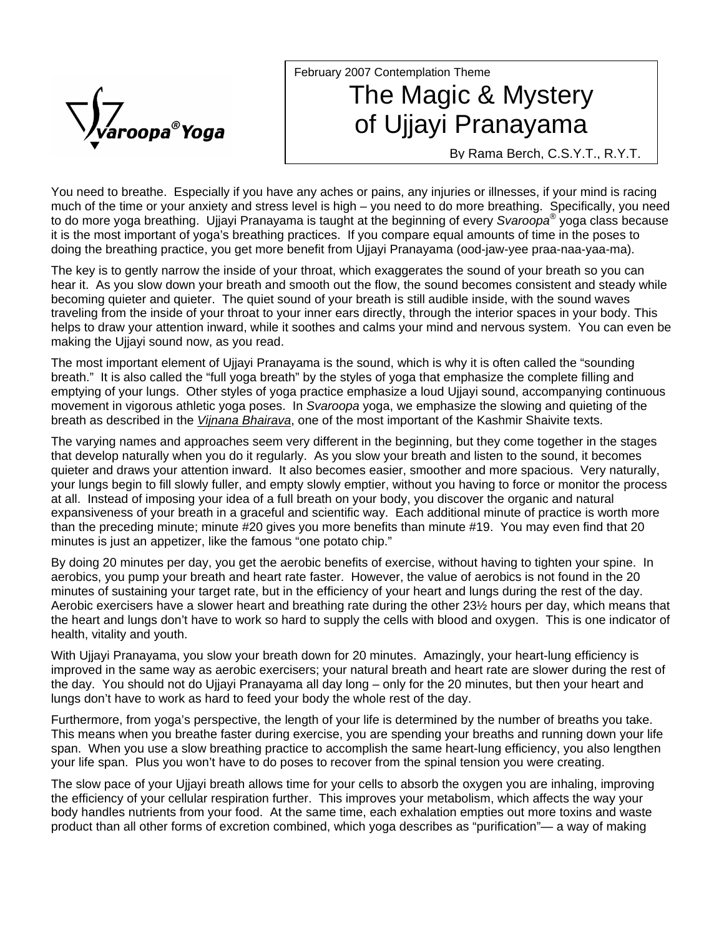

## February 2007 Contemplation Theme The Magic & Mystery of Ujjayi Pranayama

By Rama Berch, C.S.Y.T., R.Y.T.

You need to breathe. Especially if you have any aches or pains, any injuries or illnesses, if your mind is racing much of the time or your anxiety and stress level is high – you need to do more breathing. Specifically, you need to do more yoga breathing. Ujjayi Pranayama is taught at the beginning of every *Svaroopa*® yoga class because it is the most important of yoga's breathing practices. If you compare equal amounts of time in the poses to doing the breathing practice, you get more benefit from Ujjayi Pranayama (ood-jaw-yee praa-naa-yaa-ma).

The key is to gently narrow the inside of your throat, which exaggerates the sound of your breath so you can hear it. As you slow down your breath and smooth out the flow, the sound becomes consistent and steady while becoming quieter and quieter. The quiet sound of your breath is still audible inside, with the sound waves traveling from the inside of your throat to your inner ears directly, through the interior spaces in your body. This helps to draw your attention inward, while it soothes and calms your mind and nervous system. You can even be making the Ujjayi sound now, as you read.

The most important element of Ujjayi Pranayama is the sound, which is why it is often called the "sounding breath." It is also called the "full yoga breath" by the styles of yoga that emphasize the complete filling and emptying of your lungs. Other styles of yoga practice emphasize a loud Ujjayi sound, accompanying continuous movement in vigorous athletic yoga poses. In *Svaroopa* yoga, we emphasize the slowing and quieting of the breath as described in the *Vijnana Bhairava*, one of the most important of the Kashmir Shaivite texts.

The varying names and approaches seem very different in the beginning, but they come together in the stages that develop naturally when you do it regularly. As you slow your breath and listen to the sound, it becomes quieter and draws your attention inward. It also becomes easier, smoother and more spacious. Very naturally, your lungs begin to fill slowly fuller, and empty slowly emptier, without you having to force or monitor the process at all. Instead of imposing your idea of a full breath on your body, you discover the organic and natural expansiveness of your breath in a graceful and scientific way. Each additional minute of practice is worth more than the preceding minute; minute #20 gives you more benefits than minute #19. You may even find that 20 minutes is just an appetizer, like the famous "one potato chip."

By doing 20 minutes per day, you get the aerobic benefits of exercise, without having to tighten your spine. In aerobics, you pump your breath and heart rate faster. However, the value of aerobics is not found in the 20 minutes of sustaining your target rate, but in the efficiency of your heart and lungs during the rest of the day. Aerobic exercisers have a slower heart and breathing rate during the other 23½ hours per day, which means that the heart and lungs don't have to work so hard to supply the cells with blood and oxygen. This is one indicator of health, vitality and youth.

With Ujjayi Pranayama, you slow your breath down for 20 minutes. Amazingly, your heart-lung efficiency is improved in the same way as aerobic exercisers; your natural breath and heart rate are slower during the rest of the day. You should not do Ujjayi Pranayama all day long – only for the 20 minutes, but then your heart and lungs don't have to work as hard to feed your body the whole rest of the day.

Furthermore, from yoga's perspective, the length of your life is determined by the number of breaths you take. This means when you breathe faster during exercise, you are spending your breaths and running down your life span. When you use a slow breathing practice to accomplish the same heart-lung efficiency, you also lengthen your life span. Plus you won't have to do poses to recover from the spinal tension you were creating.

The slow pace of your Ujjayi breath allows time for your cells to absorb the oxygen you are inhaling, improving the efficiency of your cellular respiration further. This improves your metabolism, which affects the way your body handles nutrients from your food. At the same time, each exhalation empties out more toxins and waste product than all other forms of excretion combined, which yoga describes as "purification"— a way of making